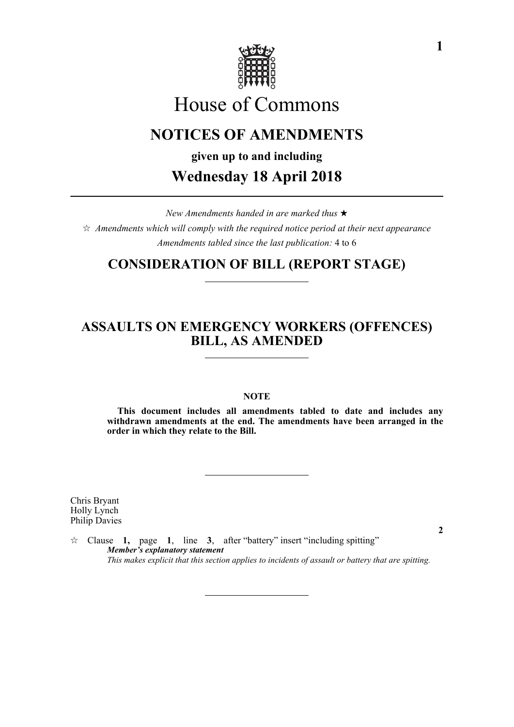

# House of Commons

## **NOTICES OF AMENDMENTS**

**given up to and including**

## **Wednesday 18 April 2018**

*New Amendments handed in are marked thus*   $\hat{\varphi}$  Amendments which will comply with the required notice period at their next appearance *Amendments tabled since the last publication:* 4 to 6

### **CONSIDERATION OF BILL (REPORT STAGE)**

#### **ASSAULTS ON EMERGENCY WORKERS (OFFENCES) BILL, AS AMENDED**

#### **NOTE**

**This document includes all amendments tabled to date and includes any withdrawn amendments at the end. The amendments have been arranged in the order in which they relate to the Bill.**

Chris Bryant Holly Lynch Philip Davies

 $\forall$  Clause **1,** page **1**, line **3**, after "battery" insert "including spitting" *Member's explanatory statement This makes explicit that this section applies to incidents of assault or battery that are spitting.*

**2**